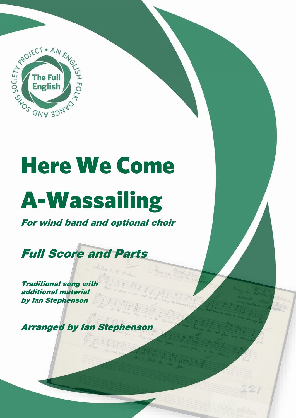

# **Here We Come**

*Unlocking hidden treasures of England's cultural heritage*

**Explore | Discover | Take Part**

# **A-Wassailing**

For wind band and optional ch For wind band and optional choir

## Full Score and Parts

Traditional song with additional material by Ian Stephenson

Arranged by Ian Stephenson

2557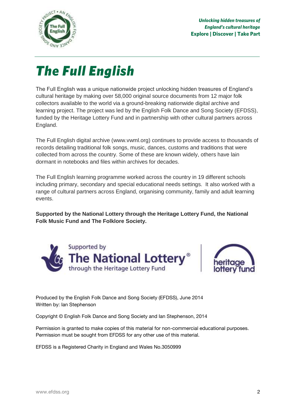

*The Full English* The Full English was a unique nationwide project unlocking hidden treasures of England's cultural heritage by making over 58,000 original source documents from 12 major folk collectors available to the world via a ground-breaking nationwide digital archive and learning project. The project was led by the English Folk Dance and Song Society (EFDSS), funded by the Heritage Lottery Fund and in partnership with other cultural partners across England.

The Full English digital archive (www.vwml.org) continues to provide access to thousands of records detailing traditional folk songs, music, dances, customs and traditions that were collected from across the country. Some of these are known widely, others have lain dormant in notebooks and files within archives for decades.

The Full English learning programme worked across the country in 19 different schools including primary, secondary and special educational needs settings. It also worked with a range of cultural partners across England, organising community, family and adult learning events.

**Supported by the National Lottery through the Heritage Lottery Fund, the National Folk Music Fund and The Folklore Society.**



Produced by the English Folk Dance and Song Society (EFDSS), June 2014 Written by: Ian Stephenson

Copyright © English Folk Dance and Song Society and Ian Stephenson, 2014

Permission is granted to make copies of this material for non-commercial educational purposes. Permission must be sought from EFDSS for any other use of this material.

EFDSS is a Registered Charity in England and Wales No.3050999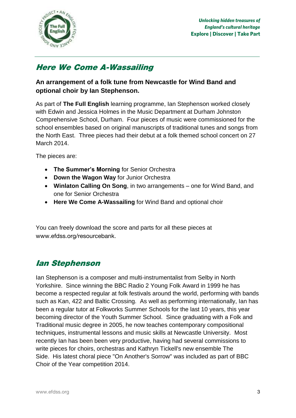

### *Unlocking hidden treasures of England's cultural heritage* **Explore | Discover | Take Part**

### Here We Come A-Wassailing

### **An arrangement of a folk tune from Newcastle for Wind Band and optional choir by Ian Stephenson.**

As part of **The Full English** learning programme, Ian Stephenson worked closely with Edwin and Jessica Holmes in the Music Department at Durham Johnston Comprehensive School, Durham. Four pieces of music were commissioned for the school ensembles based on original manuscripts of traditional tunes and songs from the North East. Three pieces had their debut at a folk themed school concert on 27 March 2014.

The pieces are:

- **The Summer's Morning** for Senior Orchestra
- **Down the Wagon Way** for Junior Orchestra
- **Winlaton Calling On Song**, in two arrangements one for Wind Band, and one for Senior Orchestra
- **Here We Come A-Wassailing** for Wind Band and optional choir

You can freely download the score and parts for all these pieces at [www.efdss.org/resourcebank](http://www.efdss.org/resourcebank).

### Ian Stephenson

Ian Stephenson is a composer and multi-instrumentalist from Selby in North Yorkshire. Since winning the BBC Radio 2 Young Folk Award in 1999 he has become a respected regular at folk festivals around the world, performing with bands such as Kan, 422 and Baltic Crossing. As well as performing internationally, Ian has been a regular tutor at Folkworks Summer Schools for the last 10 years, this year becoming director of the Youth Summer School. Since graduating with a Folk and Traditional music degree in 2005, he now teaches contemporary compositional techniques, instrumental lessons and music skills at Newcastle University. Most recently Ian has been been very productive, having had several commissions to write pieces for choirs, orchestras and Kathryn Tickell's new ensemble The Side. His latest choral piece "On Another's Sorrow" was included as part of BBC Choir of the Year competition 2014.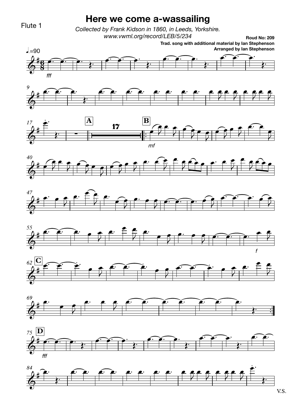Flute 1

 $\phi$   $\leftrightarrow$ 

### **Here we come a-wassailing**

*Collected by Frank Kidson in 1860, in Leeds, Yorkshire. www.vwml.org/record/LEB/5/234* **Roud No: <sup>209</sup>**

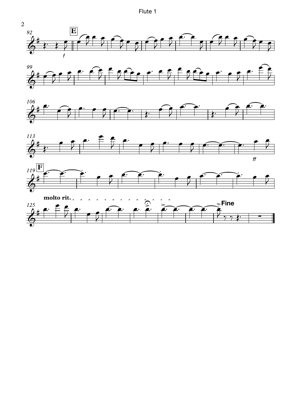Flute 1









2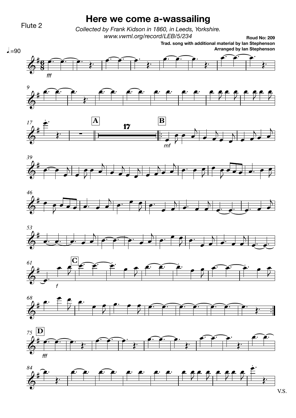Flute 2

### Here we come a-wassailing

Collected by Frank Kidson in 1860, in Leeds, Yorkshire. www.vwml.org/record/LEB/5/234

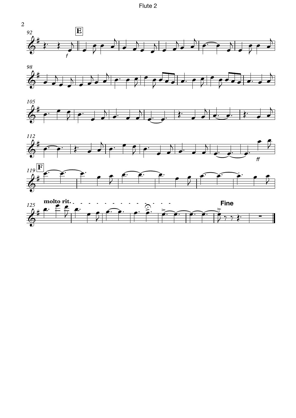







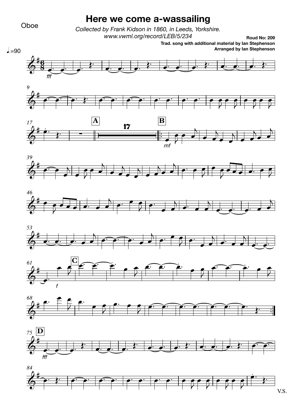Oboe

### Here we come a-wassailing

Collected by Frank Kidson in 1860, in Leeds, Yorkshire. www.vwml.org/record/LEB/5/234

**Roud No: 209** Trad. song with additional material by Ian Stephenson **Arranged by Ian Stephenson** 















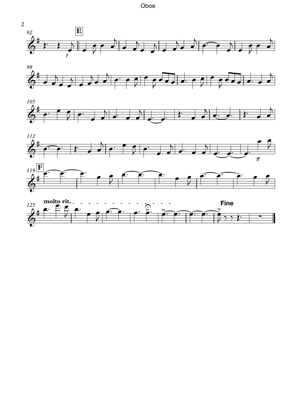Oboe









2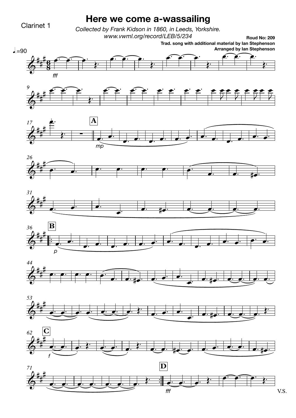**Clarinet 1** 

### Here we come a-wassailing

Collected by Frank Kidson in 1860, in Leeds, Yorkshire. www.vwml.org/record/LEB/5/234



V.S.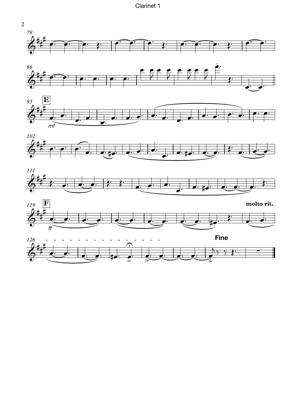Clarinet 1

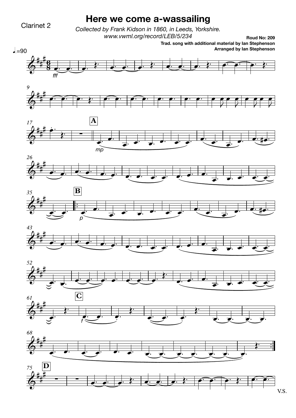**Clarinet 2** 

### Here we come a-wassailing

Collected by Frank Kidson in 1860, in Leeds, Yorkshire. www.vwml.org/record/LEB/5/234

**Roud No: 209** Trad. song with additional material by Ian Stephenson Arranged by Ian Stephenson

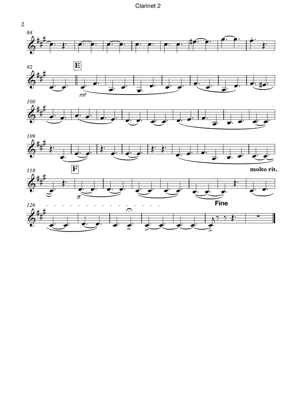Clarinet 2



 $\overline{2}$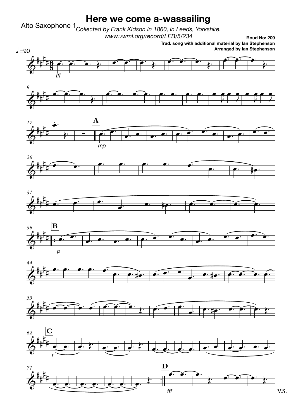### Here we come a-wassailing

Alto Saxophone 1 Collected by Frank Kidson in 1860, in Leeds, Yorkshire. www.vwml.org/record/LEB/5/234

**Roud No: 209** Trad. song with additional material by Ian Stephenson

V.S.

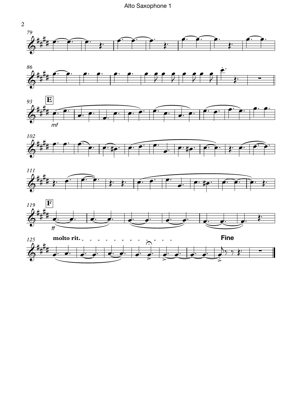Alto Saxophone 1



 $\overline{2}$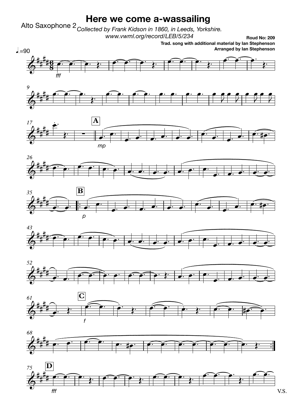Here we come a-wassailing<br>Alto Saxophone 2 Collected by Frank Kidson in 1860, in Leeds, Yorkshire.<br>www.vwml.org/record/LEB/5/234

Trad. song with additional material by Ian Stephenson  $l = 90$ **Arranged by Ian Stephenson** 孟  $\frac{1}{4}$ ∄  $\overline{\mathbf{A}}$  $17$  $\overrightarrow{A}$  $mp$ 26 大  $\overline{\mathbf{B}}$ 35













**Roud No: 209**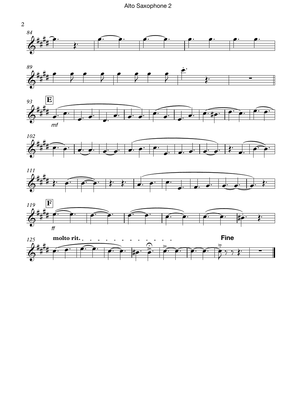Alto Saxophone 2



 $\overline{2}$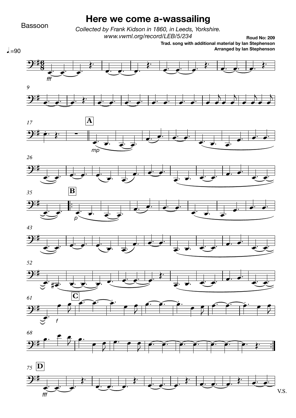Bassoon

### Here we come a-wassailing

Collected by Frank Kidson in 1860, in Leeds, Yorkshire. www.vwml.org/record/LEB/5/234

**Roud No: 209** Trad. song with additional material by Ian Stephenson Arranged by Ian Stephenson







26











 $75\overline{\mathbf{D}}$ 



 $l = 90$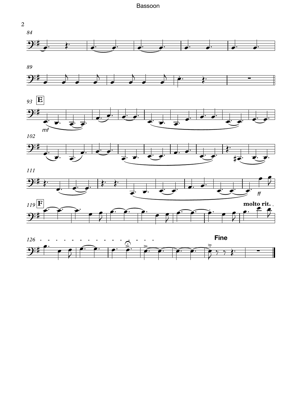Bassoon

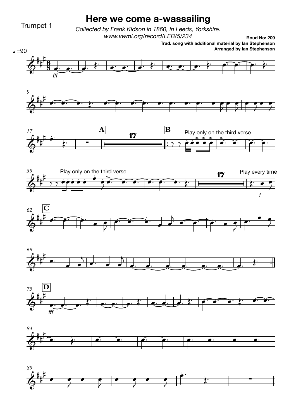Trumpet 1

### Here we come a-wassailing

Collected by Frank Kidson in 1860, in Leeds, Yorkshire. www.vwml.org/record/LEB/5/234

**Roud No: 209** Trad. song with additional material by Ian Stephenson **Arranged by Ian Stephenson** 

















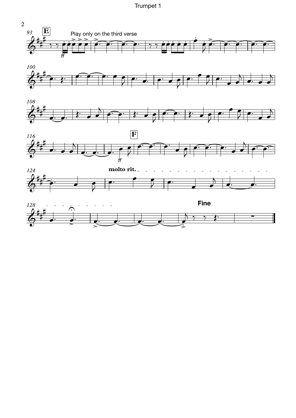Trumpet 1



 $\overline{2}$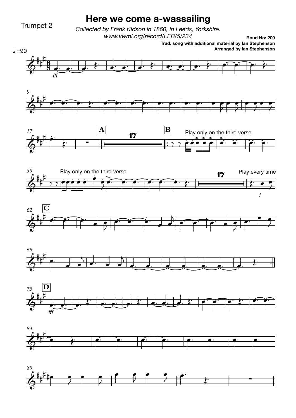Trumpet 2

### Here we come a-wassailing

Collected by Frank Kidson in 1860, in Leeds, Yorkshire. www.vwml.org/record/LEB/5/234

**Roud No: 209** Trad. song with additional material by Ian Stephenson **Arranged by Ian Stephenson** 

















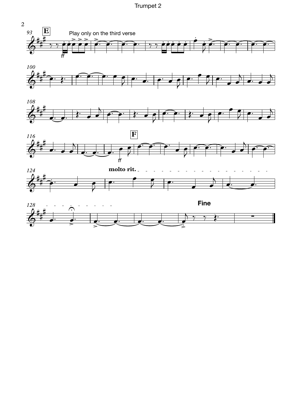Trumpet 2



 $\overline{2}$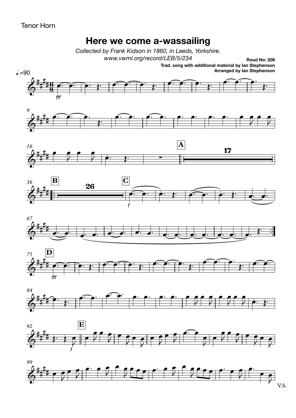### Here we come a-wassailing

Collected by Frank Kidson in 1860, in Leeds, Yorkshire. www.vwml.org/record/LEB/5/234

**Roud No: 209** Trad. song with additional material by Ian Stephenson



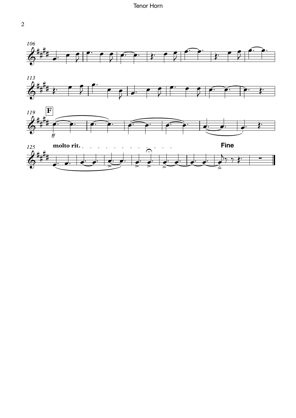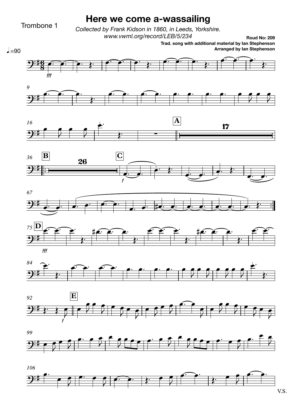Trombone 1

### Here we come a-wassailing

Collected by Frank Kidson in 1860, in Leeds, Yorkshire. www.vwml.org/record/LEB/5/234

**Roud No: 209** Trad. song with additional material by Ian Stephenson Arranged by Ian Stephenson















99  $\bar{\mathcal{P}}_1$  $\bigoplus$ 

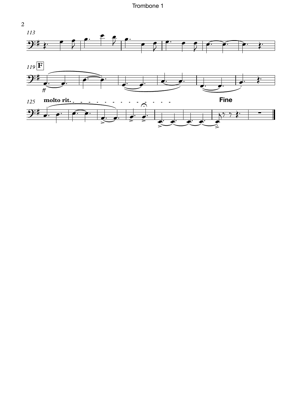Trombone 1



 $\overline{c}$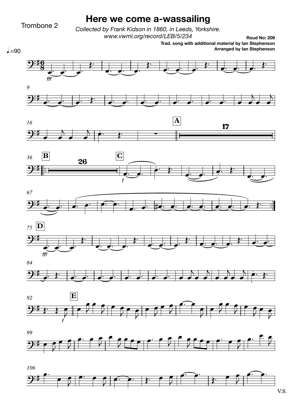Trombone 2

### **Here we come a-wassailing**

*Collected by Frank Kidson in 1860, in Leeds, Yorkshire. www.vwml.org/record/LEB/5/234* **Roud No: <sup>209</sup>**

**Trad. song with additional material by Ian Stephenson Arranged by Ian Stephenson**

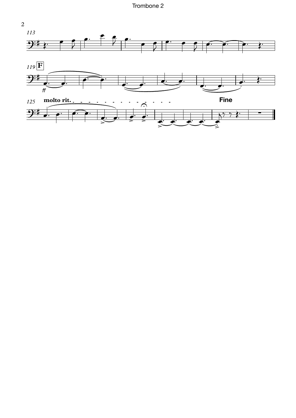Trombone 2



 $\overline{c}$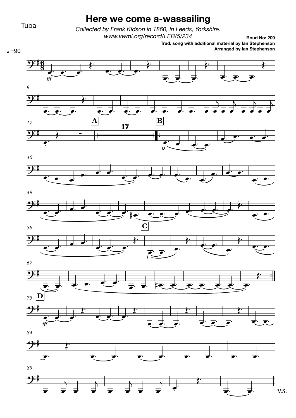Tuba

### Here we come a-wassailing

Collected by Frank Kidson in 1860, in Leeds, Yorkshire. www.vwml.org/record/LEB/5/234

**Roud No: 209** Trad. song with additional material by Ian Stephenson Arranged by Ian Stephenson

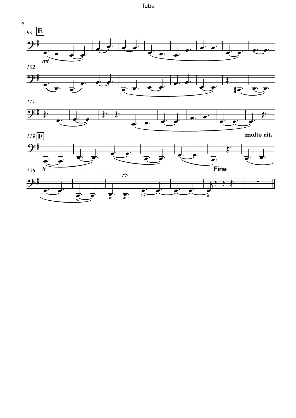Tuba

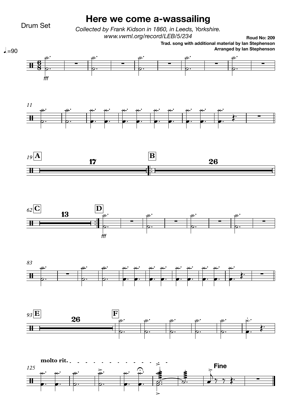Drum Set

### **Here we come a-wassailing**

*Collected by Frank Kidson in 1860, in Leeds, Yorkshire. www.vwml.org/record/LEB/5/234* **Roud No: <sup>209</sup>**

**Trad. song with additional material by Ian Stephenson**













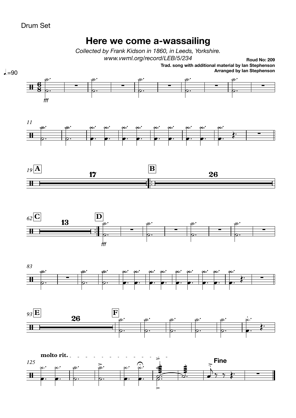### **Here we come a-wassailing**

*Collected by Frank Kidson in 1860, in Leeds, Yorkshire. www.vwml.org/record/LEB/5/234* **Roud No: <sup>209</sup>**



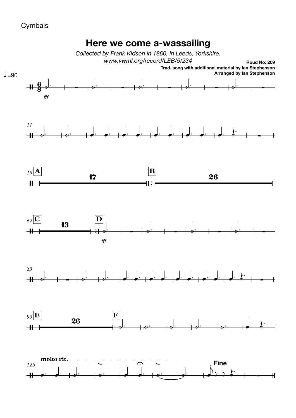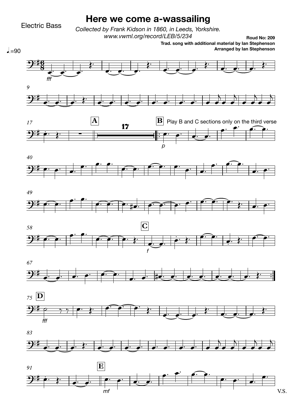**Electric Bass** 

### Here we come a-wassailing

Collected by Frank Kidson in 1860, in Leeds, Yorkshire. www.vwml.org/record/LEB/5/234

**Roud No: 209** Trad. song with additional material by Ian Stephenson Arranged by Ian Stephenson



 $m<sub>f</sub>$ 

V.S.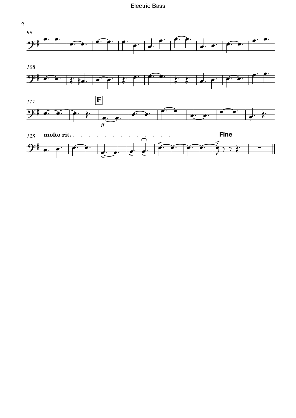Electric Bass



2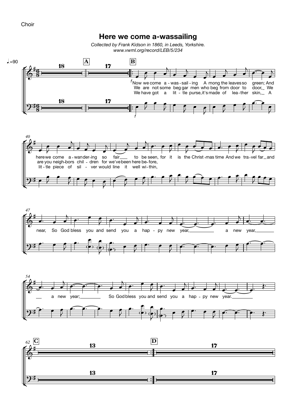### **Here we come a-wassailing**

*Collected by Frank Kidson in 1860, in Leeds, Yorkshire. www.vwml.org/record/LEB/5/234*